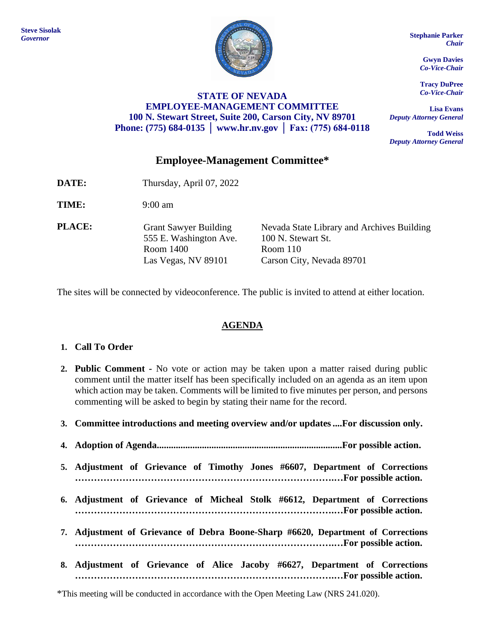

#### **STATE OF NEVADA EMPLOYEE-MANAGEMENT COMMITTEE 100 N. Stewart Street, Suite 200, Carson City, NV 89701 Phone: (775) 684-0135 │ [www.hr.nv.gov](http://www.hr.nv.gov/) │ Fax: (775) 684-0118**

*Chair*

**Gwyn Davies** *Co-Vice-Chair*

**Tracy DuPree** *Co-Vice-Chair*

**Lisa Evans** *Deputy Attorney General*

**Todd Weiss** *Deputy Attorney General*

# **Employee-Management Committee\***

- **DATE:** Thursday, April 07, 2022
- **TIME:** 9:00 am
- **PLACE:** Grant Sawyer Building 555 E. Washington Ave. Room 1400 Las Vegas, NV 89101

Nevada State Library and Archives Building 100 N. Stewart St. Room 110 Carson City, Nevada 89701

The sites will be connected by videoconference. The public is invited to attend at either location.

# **AGENDA**

## **1. Call To Order**

- **2. Public Comment -** No vote or action may be taken upon a matter raised during public comment until the matter itself has been specifically included on an agenda as an item upon which action may be taken. Comments will be limited to five minutes per person, and persons commenting will be asked to begin by stating their name for the record.
- **3. Committee introductions and meeting overview and/or updates....For discussion only.**
- **4. Adoption of Agenda..............................................................................For possible action.**
- **5. Adjustment of Grievance of Timothy Jones #6607, Department of Corrections ……………………………………………………………………….…For possible action.**
- **6. Adjustment of Grievance of Micheal Stolk #6612, Department of Corrections ……………………………………………………………………….…For possible action.**
- **7. Adjustment of Grievance of Debra Boone-Sharp #6620, Department of Corrections ……………………………………………………………………….…For possible action.**
- **8. Adjustment of Grievance of Alice Jacoby #6627, Department of Corrections ……………………………………………………………………….…For possible action.**

\*This meeting will be conducted in accordance with the Open Meeting Law (NRS 241.020).